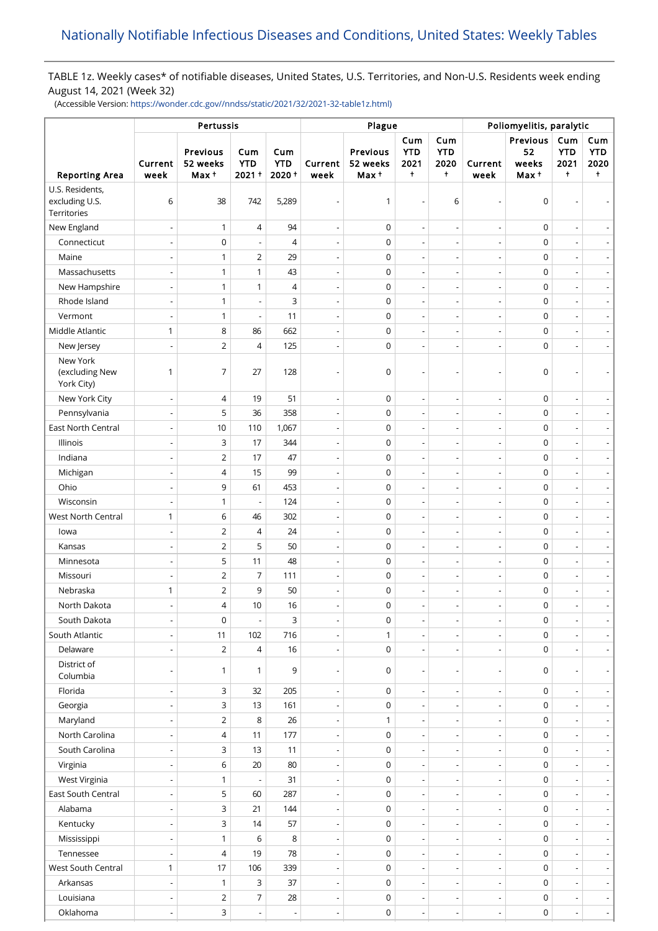# TABLE 1z. Weekly cases\* of notifiable diseases, United States, U.S. Territories, and Non-U.S. Residents week ending August 14, 2021 (Week 32)

(Accessible Version: [https://wonder.cdc.gov//nndss/static/2021/32/2021-32-table1z.html\)](https://wonder.cdc.gov//nndss/static/2021/32/2021-32-table1z.html)

|                                                  |                          | Pertussis                    |                               | Plague                        | Poliomyelitis, paralytic |                               |                                         |                                         |                          |                                 |                                         |                                         |
|--------------------------------------------------|--------------------------|------------------------------|-------------------------------|-------------------------------|--------------------------|-------------------------------|-----------------------------------------|-----------------------------------------|--------------------------|---------------------------------|-----------------------------------------|-----------------------------------------|
| <b>Reporting Area</b>                            | Current<br>week          | Previous<br>52 weeks<br>Max+ | Cum<br><b>YTD</b><br>$2021 +$ | Cum<br><b>YTD</b><br>$2020 +$ | Current<br>week          | Previous<br>52 weeks<br>Max + | Cum<br><b>YTD</b><br>2021<br>$\ddagger$ | Cum<br><b>YTD</b><br>2020<br>$\ddagger$ | Current<br>week          | Previous<br>52<br>weeks<br>Max+ | Cum<br><b>YTD</b><br>2021<br>$\ddagger$ | Cum<br><b>YTD</b><br>2020<br>$\ddagger$ |
| U.S. Residents,<br>excluding U.S.<br>Territories | 6                        | 38                           | 742                           | 5,289                         | $\overline{a}$           | $\mathbf{1}$                  |                                         | 6                                       |                          | 0                               |                                         |                                         |
| New England                                      | $\overline{a}$           | $\mathbf{1}$                 | 4                             | 94                            | $\overline{\phantom{a}}$ | $\mathsf 0$                   | $\overline{a}$                          | $\overline{\phantom{a}}$                |                          | $\mathsf 0$                     | $\overline{\phantom{a}}$                |                                         |
| Connecticut                                      | $\overline{\phantom{a}}$ | $\mathsf 0$                  | $\overline{\phantom{a}}$      | $\overline{4}$                | $\overline{\phantom{a}}$ | $\mathbf 0$                   |                                         | $\overline{\phantom{a}}$                |                          | 0                               | $\overline{a}$                          | $\overline{\phantom{a}}$                |
| Maine                                            | $\overline{\phantom{a}}$ | $\mathbf{1}$                 | $\overline{2}$                | 29                            | $\overline{\phantom{0}}$ | $\mathbf 0$                   | $\overline{\phantom{a}}$                | $\overline{\phantom{a}}$                | $\overline{\phantom{a}}$ | $\mathsf 0$                     | $\overline{\phantom{a}}$                | $\overline{\phantom{0}}$                |
| Massachusetts                                    | $\overline{\phantom{a}}$ | $\mathbf{1}$                 | $\mathbf{1}$                  | 43                            | $\overline{\phantom{a}}$ | $\mathbf 0$                   | $\overline{\phantom{a}}$                | $\overline{\phantom{a}}$                | $\overline{\phantom{a}}$ | 0                               | $\overline{a}$                          | $\overline{\phantom{a}}$                |
| New Hampshire                                    |                          | $\mathbf{1}$                 | $\mathbf{1}$                  | $\overline{4}$                | $\overline{\phantom{a}}$ | $\mathbf 0$                   |                                         | $\overline{\phantom{a}}$                |                          | 0                               | $\overline{\phantom{a}}$                | $\blacksquare$                          |
| Rhode Island                                     | $\overline{\phantom{a}}$ | $\mathbf{1}$                 | $\overline{\phantom{a}}$      | 3                             | $\overline{\phantom{a}}$ | $\mathbf 0$                   | $\overline{a}$                          | $\overline{\phantom{a}}$                |                          | 0                               | ÷,                                      | $\overline{\phantom{a}}$                |
| Vermont                                          | ÷,                       | $\mathbf{1}$                 | $\overline{\phantom{a}}$      | 11                            | $\overline{\phantom{a}}$ | $\mathbf 0$                   |                                         | $\overline{\phantom{a}}$                |                          | $\mathsf 0$                     | ÷,                                      | $\blacksquare$                          |
| Middle Atlantic                                  | $\mathbf{1}$             | 8                            | 86                            | 662                           | $\overline{\phantom{a}}$ | $\mathbf 0$                   | $\overline{a}$                          | $\overline{a}$                          | $\overline{\phantom{a}}$ | $\mathsf 0$                     | $\overline{a}$                          | $\overline{\phantom{a}}$                |
| New Jersey                                       |                          | $\overline{2}$               | 4                             | 125                           |                          | $\mathbf 0$                   |                                         | $\overline{a}$                          |                          | 0                               |                                         |                                         |
| New York<br>(excluding New<br>York City)         | $\mathbf{1}$             | $\overline{7}$               | 27                            | 128                           |                          | 0                             |                                         |                                         |                          | 0                               | $\overline{a}$                          |                                         |
| New York City                                    | $\overline{a}$           | $\overline{4}$               | 19                            | 51                            | $\overline{\phantom{a}}$ | $\mathsf 0$                   | $\overline{a}$                          | $\overline{\phantom{a}}$                | $\overline{\phantom{a}}$ | 0                               | $\overline{\phantom{a}}$                | $\overline{\phantom{a}}$                |
| Pennsylvania                                     | $\overline{a}$           | 5                            | 36                            | 358                           | $\overline{\phantom{a}}$ | $\mathbf 0$                   | $\overline{a}$                          | $\overline{\phantom{a}}$                |                          | 0                               | $\overline{\phantom{a}}$                | $\overline{\phantom{a}}$                |
| East North Central                               | $\overline{\phantom{a}}$ | 10                           | 110                           | 1,067                         | $\overline{\phantom{a}}$ | $\mathbf 0$                   |                                         | $\overline{\phantom{a}}$                |                          | 0                               | $\overline{a}$                          | $\overline{\phantom{a}}$                |
| Illinois                                         | $\overline{\phantom{a}}$ | 3                            | 17                            | 344                           | $\overline{\phantom{0}}$ | $\mathbf 0$                   | $\overline{\phantom{a}}$                | $\overline{\phantom{a}}$                | $\overline{\phantom{a}}$ | 0                               | $\overline{\phantom{a}}$                | $\overline{\phantom{0}}$                |
| Indiana                                          | $\overline{\phantom{a}}$ | $\overline{2}$               | 17                            | 47                            | $\overline{\phantom{a}}$ | $\mathbf 0$                   | $\overline{\phantom{a}}$                | $\overline{\phantom{a}}$                | $\overline{\phantom{a}}$ | 0                               | $\overline{a}$                          | $\overline{\phantom{a}}$                |
| Michigan                                         |                          | $\overline{4}$               | 15                            | 99                            | $\overline{\phantom{a}}$ | $\mathbf 0$                   |                                         | $\overline{\phantom{a}}$                |                          | 0                               | $\overline{\phantom{a}}$                | $\blacksquare$                          |
| Ohio                                             | $\overline{\phantom{a}}$ | 9                            | 61                            | 453                           | $\overline{\phantom{a}}$ | $\mathbf 0$                   | $\overline{a}$                          | $\overline{\phantom{a}}$                |                          | 0                               | ÷,                                      | $\overline{\phantom{a}}$                |
| Wisconsin                                        |                          | $\mathbf{1}$                 | $\overline{a}$                | 124                           | $\overline{\phantom{a}}$ | $\mathbf 0$                   |                                         | $\overline{\phantom{a}}$                |                          | $\mathsf 0$                     | ÷,                                      | $\blacksquare$                          |
| West North Central                               | $\mathbf{1}$             | 6                            | 46                            | 302                           | $\overline{\phantom{a}}$ | $\mathbf 0$                   | $\overline{a}$                          | $\overline{\phantom{a}}$                | $\overline{\phantom{a}}$ | $\mathsf 0$                     | $\overline{a}$                          | $\overline{\phantom{a}}$                |
| lowa                                             |                          | $\overline{2}$               | 4                             | 24                            |                          | $\mathsf 0$                   |                                         | $\overline{\phantom{a}}$                |                          | 0                               | $\overline{a}$                          | $\overline{\phantom{a}}$                |
| Kansas                                           | $\overline{\phantom{a}}$ | $\mathbf 2$                  | 5                             | 50                            | $\overline{\phantom{a}}$ | $\mathbf 0$                   | $\overline{a}$                          | $\overline{a}$                          |                          | $\mathsf 0$                     | $\overline{\phantom{a}}$                | $\overline{\phantom{a}}$                |
| Minnesota                                        | $\overline{\phantom{a}}$ | 5                            | 11                            | 48                            | $\overline{\phantom{a}}$ | $\mathbf 0$                   |                                         | $\overline{\phantom{a}}$                |                          | 0                               | $\overline{a}$                          | $\blacksquare$                          |
| Missouri                                         | $\overline{a}$           | $\overline{2}$               | $\overline{7}$                | 111                           | $\overline{\phantom{a}}$ | $\mathbf 0$                   | $\overline{a}$                          | $\overline{\phantom{m}}$                | $\overline{\phantom{a}}$ | 0                               | $\overline{\phantom{a}}$                | $\overline{\phantom{a}}$                |
| Nebraska                                         | 1                        | $\overline{2}$               | 9                             | 50                            | $\overline{\phantom{a}}$ | $\mathbf 0$                   | $\overline{\phantom{a}}$                | $\overline{\phantom{a}}$                |                          | 0                               | $\overline{a}$                          | $\overline{\phantom{a}}$                |
| North Dakota                                     |                          | $\overline{4}$               | 10                            | 16                            | $\overline{\phantom{a}}$ | $\mathbf 0$                   | $\overline{\phantom{a}}$                | $\overline{\phantom{a}}$                | $\overline{\phantom{a}}$ | 0                               | $\overline{\phantom{a}}$                | $\overline{\phantom{a}}$                |
| South Dakota                                     |                          | $\mathsf 0$                  | $\overline{a}$                | 3                             |                          | $\mathsf 0$                   |                                         | $\overline{\phantom{a}}$                |                          | 0                               | $\overline{a}$                          | $\overline{\phantom{a}}$                |
| South Atlantic                                   | ÷,                       | 11                           | 102                           | 716                           | $\overline{\phantom{a}}$ | $\mathbf{1}$                  |                                         | $\overline{\phantom{a}}$                |                          | 0                               | $\overline{\phantom{a}}$                | $\overline{\phantom{a}}$                |
| Delaware                                         | ÷,                       | $\overline{2}$               | $\overline{4}$                | 16                            | $\overline{\phantom{a}}$ | $\mathsf 0$                   | $\overline{a}$                          | $\overline{\phantom{a}}$                |                          | 0                               | $\overline{\phantom{a}}$                | $\blacksquare$                          |
| District of<br>Columbia                          |                          | $\mathbf{1}$                 | $\mathbf{1}$                  | 9                             | $\overline{\phantom{a}}$ | 0                             | $\overline{\phantom{0}}$                | $\overline{a}$                          | $\overline{\phantom{a}}$ | 0                               | $\overline{\phantom{a}}$                | $\overline{\phantom{a}}$                |
| Florida                                          |                          | 3                            | 32                            | 205                           | $\overline{\phantom{a}}$ | $\mathsf 0$                   |                                         | $\overline{a}$                          |                          | 0                               | $\overline{\phantom{a}}$                |                                         |
| Georgia                                          | $\overline{\phantom{a}}$ | 3                            | 13                            | 161                           | $\overline{\phantom{a}}$ | $\mathbf 0$                   |                                         | $\overline{a}$                          |                          | 0                               | $\overline{\phantom{a}}$                | $\blacksquare$                          |
| Maryland                                         |                          | $\mathbf 2$                  | 8                             | 26                            | $\overline{\phantom{m}}$ | $\mathbf{1}$                  |                                         | $\overline{a}$                          |                          | 0                               |                                         | $\blacksquare$                          |
| North Carolina                                   | $\overline{\phantom{a}}$ | $\overline{4}$               | 11                            | 177                           | $\overline{\phantom{a}}$ | $\mathsf 0$                   | $\overline{a}$                          | $\overline{\phantom{a}}$                | $\overline{\phantom{a}}$ | 0                               | $\overline{\phantom{a}}$                | $\overline{\phantom{a}}$                |
| South Carolina                                   | $\overline{\phantom{a}}$ | 3                            | 13                            | 11                            | $\overline{\phantom{a}}$ | $\mathsf 0$                   | $\overline{a}$                          | $\overline{\phantom{a}}$                |                          | 0                               | $\overline{\phantom{a}}$                | $\blacksquare$                          |
| Virginia                                         | $\overline{\phantom{a}}$ | 6                            | 20                            | 80                            | $\overline{\phantom{a}}$ | $\mathsf 0$                   | $\overline{a}$                          | $\overline{\phantom{m}}$                |                          | 0                               | $\overline{\phantom{a}}$                | $\overline{\phantom{a}}$                |
| West Virginia                                    | $\overline{\phantom{a}}$ | $\mathbf{1}$                 | $\overline{\phantom{a}}$      | 31                            | $\overline{\phantom{a}}$ | $\mathsf 0$                   |                                         | $\overline{\phantom{a}}$                |                          | 0                               | $\overline{a}$                          | $\overline{\phantom{a}}$                |
| East South Central                               | $\overline{\phantom{a}}$ | 5                            | 60                            | 287                           | $\overline{\phantom{a}}$ | $\mathsf 0$                   | $\overline{\phantom{a}}$                | $\overline{\phantom{a}}$                | $\overline{\phantom{a}}$ | 0                               | $\overline{\phantom{a}}$                | $\overline{\phantom{a}}$                |
| Alabama                                          | $\overline{\phantom{a}}$ | 3                            | 21                            | 144                           | $\overline{\phantom{a}}$ | $\mathsf 0$                   |                                         | $\overline{\phantom{a}}$                |                          | 0                               | $\overline{\phantom{a}}$                | $\overline{\phantom{a}}$                |
| Kentucky                                         |                          | 3                            | 14                            | 57                            | $\overline{a}$           | $\mathsf 0$                   |                                         | $\overline{\phantom{a}}$                |                          | 0                               |                                         | $\blacksquare$                          |
| Mississippi                                      | $\overline{\phantom{a}}$ | $\mathbf{1}$                 | 6                             | 8                             | $\overline{\phantom{a}}$ | $\mathsf 0$                   |                                         | $\overline{\phantom{a}}$                |                          | 0                               | $\overline{\phantom{a}}$                | $\overline{\phantom{a}}$                |
| Tennessee                                        |                          | $\overline{4}$               | 19                            | 78                            | $\overline{\phantom{a}}$ | $\mathsf 0$                   |                                         | $\overline{\phantom{a}}$                |                          | 0                               | $\overline{\phantom{m}}$                | $\blacksquare$                          |
| West South Central                               | $\mathbf{1}$             | 17                           | 106                           | 339                           | $\overline{\phantom{a}}$ | $\mathsf 0$                   | $\overline{a}$                          | $\overline{\phantom{a}}$                | $\overline{\phantom{a}}$ | 0                               | $\overline{\phantom{a}}$                | $\blacksquare$                          |
| Arkansas                                         |                          | $\mathbf{1}$                 | 3                             | 37                            | $\overline{\phantom{a}}$ | $\mathsf 0$                   |                                         |                                         |                          | 0                               | $\overline{\phantom{m}}$                | $\blacksquare$                          |
| Louisiana                                        | $\overline{\phantom{a}}$ | $\overline{2}$               | 7                             | 28                            | $\overline{\phantom{a}}$ | $\mathsf 0$                   | $\overline{a}$                          | $\overline{\phantom{a}}$                | $\overline{\phantom{a}}$ | 0                               | $\blacksquare$                          | $\overline{\phantom{a}}$                |
| Oklahoma                                         | ÷,                       | 3                            | $\blacksquare$                |                               | $\overline{\phantom{a}}$ | $\mathsf 0$                   |                                         | $\overline{\phantom{a}}$                |                          | 0                               | $\overline{\phantom{m}}$                | - 1                                     |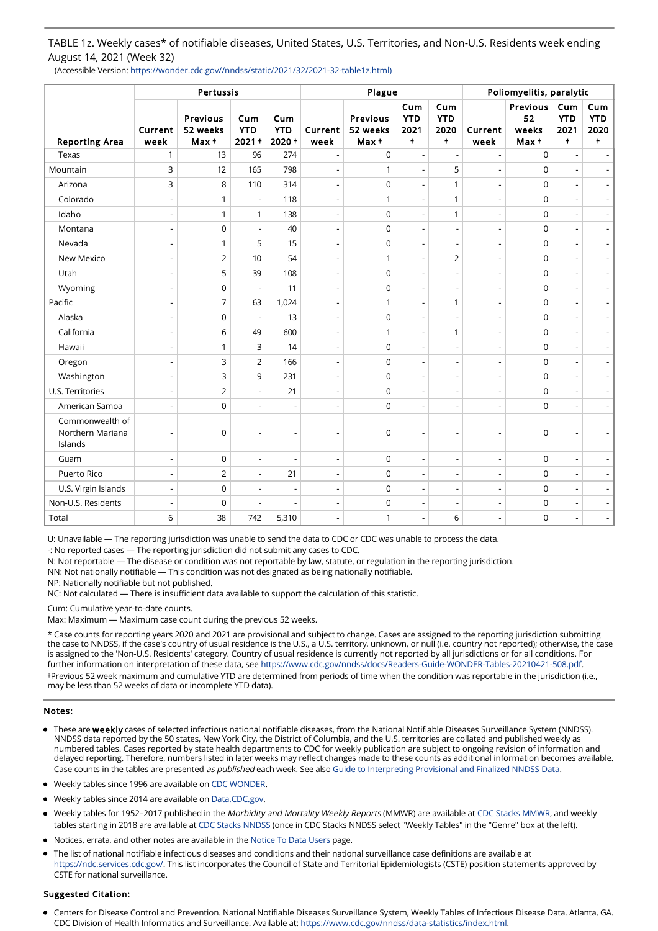TABLE 1z. Weekly cases\* of notifiable diseases, United States, U.S. Territories, and Non-U.S. Residents week ending August 14, 2021 (Week 32)

(Accessible Version: https://wonder.cdc.gov//nndss/static/2021/32/2021-32-table1z.html)

| <b>Reporting Area</b>                          | Pertussis                |                              |                            |                               |                          | Plague                               | Poliomyelitis, paralytic                |                                         |                          |                                  |                                         |                                         |
|------------------------------------------------|--------------------------|------------------------------|----------------------------|-------------------------------|--------------------------|--------------------------------------|-----------------------------------------|-----------------------------------------|--------------------------|----------------------------------|-----------------------------------------|-----------------------------------------|
|                                                | Current<br>week          | Previous<br>52 weeks<br>Max+ | Cum<br><b>YTD</b><br>2021+ | Cum<br><b>YTD</b><br>$2020 +$ | Current<br>week          | <b>Previous</b><br>52 weeks<br>Max + | Cum<br><b>YTD</b><br>2021<br>$\ddagger$ | Cum<br><b>YTD</b><br>2020<br>$\ddagger$ | Current<br>week          | Previous<br>52<br>weeks<br>Max + | Cum<br><b>YTD</b><br>2021<br>$\ddagger$ | Cum<br><b>YTD</b><br>2020<br>$\ddagger$ |
| Texas                                          | 1                        | 13                           | 96                         | 274                           | $\overline{a}$           | $\mathbf 0$                          |                                         | $\overline{a}$                          |                          | $\mathbf 0$                      |                                         |                                         |
| Mountain                                       | 3                        | 12                           | 165                        | 798                           | $\overline{a}$           | $\mathbf{1}$                         |                                         | 5                                       |                          | $\mathbf 0$                      | $\overline{a}$                          |                                         |
| Arizona                                        | 3                        | 8                            | 110                        | 314                           | $\overline{a}$           | $\mathbf 0$                          | $\overline{a}$                          | $\mathbf{1}$                            |                          | $\mathbf 0$                      | $\overline{a}$                          | $\overline{\phantom{a}}$                |
| Colorado                                       | $\overline{\phantom{a}}$ | $\mathbf{1}$                 | $\overline{\phantom{a}}$   | 118                           | $\overline{\phantom{a}}$ | $\mathbf{1}$                         | $\overline{\phantom{a}}$                | $\mathbf{1}$                            |                          | $\mathbf 0$                      | $\overline{a}$                          | $\overline{\phantom{a}}$                |
| Idaho                                          | $\overline{a}$           | $\mathbf{1}$                 | $\mathbf{1}$               | 138                           | $\overline{\phantom{a}}$ | $\mathbf 0$                          | $\overline{a}$                          | $\mathbf{1}$                            |                          | $\mathbf 0$                      | $\overline{a}$                          | $\overline{\phantom{a}}$                |
| Montana                                        | $\overline{\phantom{a}}$ | $\overline{0}$               | $\overline{\phantom{a}}$   | 40                            | $\blacksquare$           | 0                                    | $\overline{a}$                          | $\blacksquare$                          |                          | $\mathbf 0$                      | $\overline{a}$                          | $\frac{1}{2}$                           |
| Nevada                                         | $\overline{a}$           | $\mathbf{1}$                 | 5                          | 15                            | $\overline{\phantom{a}}$ | $\mathbf 0$                          | $\overline{a}$                          | $\overline{\phantom{a}}$                |                          | $\mathbf 0$                      | ÷,                                      | $\overline{\phantom{a}}$                |
| New Mexico                                     | $\overline{a}$           | $\overline{2}$               | 10                         | 54                            | $\overline{\phantom{a}}$ | $\mathbf{1}$                         | $\overline{a}$                          | $\overline{2}$                          |                          | $\mathbf 0$                      | $\overline{\phantom{a}}$                | $\overline{\phantom{a}}$                |
| Utah                                           | $\overline{a}$           | 5                            | 39                         | 108                           | $\overline{\phantom{a}}$ | $\mathbf 0$                          | $\overline{a}$                          | $\overline{\phantom{a}}$                | $\overline{\phantom{a}}$ | $\mathbf 0$                      | ÷,                                      | $\overline{\phantom{a}}$                |
| Wyoming                                        | ÷,                       | 0                            | $\overline{\phantom{a}}$   | 11                            | $\overline{\phantom{a}}$ | $\mathbf 0$                          | $\overline{\phantom{0}}$                | $\overline{\phantom{a}}$                |                          | $\mathbf 0$                      | ÷,                                      | $\overline{\phantom{a}}$                |
| Pacific                                        | ÷,                       | $\overline{7}$               | 63                         | 1,024                         | $\overline{\phantom{a}}$ | $\mathbf{1}$                         | $\overline{a}$                          | $\mathbf{1}$                            | $\overline{\phantom{a}}$ | $\mathbf 0$                      | ÷,                                      | $\overline{\phantom{a}}$                |
| Alaska                                         | ÷,                       | $\overline{0}$               | $\overline{\phantom{a}}$   | 13                            | $\overline{\phantom{a}}$ | $\mathbf 0$                          |                                         | $\overline{a}$                          |                          | $\mathsf 0$                      | $\overline{a}$                          |                                         |
| California                                     | Ĭ.                       | 6                            | 49                         | 600                           | $\overline{\phantom{a}}$ | $\mathbf{1}$                         |                                         | $\mathbf{1}$                            |                          | $\mathbf 0$                      | $\overline{a}$                          |                                         |
| Hawaii                                         | ÷,                       | $\mathbf{1}$                 | $\overline{3}$             | 14                            | $\overline{a}$           | $\mathbf 0$                          |                                         | $\overline{a}$                          |                          | $\mathbf 0$                      | $\overline{a}$                          |                                         |
| Oregon                                         | ÷,                       | 3                            | $\overline{2}$             | 166                           | $\overline{\phantom{a}}$ | $\mathsf 0$                          | $\sim$                                  | $\overline{\phantom{a}}$                |                          | $\mathsf 0$                      | $\overline{a}$                          | $\blacksquare$                          |
| Washington                                     | $\overline{a}$           | 3                            | 9                          | 231                           | $\overline{\phantom{a}}$ | $\mathbf 0$                          | L.                                      | $\overline{a}$                          |                          | $\mathbf 0$                      | $\overline{a}$                          | $\blacksquare$                          |
| U.S. Territories                               | $\overline{a}$           | $\overline{2}$               | $\overline{\phantom{a}}$   | 21                            | $\overline{\phantom{a}}$ | 0                                    |                                         | $\overline{\phantom{0}}$                |                          | $\mathbf 0$                      | $\overline{a}$                          | $\overline{\phantom{a}}$                |
| American Samoa                                 | $\overline{a}$           | $\overline{0}$               | $\overline{\phantom{a}}$   | L,                            | $\overline{\phantom{a}}$ | $\mathbf 0$                          | $\overline{\phantom{a}}$                | $\overline{\phantom{a}}$                |                          | $\mathbf 0$                      | $\overline{a}$                          | $\overline{\phantom{a}}$                |
| Commonwealth of<br>Northern Mariana<br>Islands | ÷,                       | 0                            | $\overline{a}$             |                               | $\overline{a}$           | 0                                    |                                         | $\overline{a}$                          |                          | 0                                |                                         |                                         |
| Guam                                           | $\overline{a}$           | 0                            | $\overline{\phantom{a}}$   | ÷,                            | $\overline{\phantom{a}}$ | $\mathbf 0$                          | $\overline{a}$                          | $\overline{a}$                          | $\overline{a}$           | $\mathbf 0$                      | $\overline{a}$                          | $\overline{\phantom{a}}$                |
| Puerto Rico                                    | ÷,                       | $\overline{2}$               | $\overline{\phantom{a}}$   | 21                            | $\overline{\phantom{0}}$ | $\mathsf 0$                          |                                         | $\overline{\phantom{a}}$                |                          | $\mathsf 0$                      | $\overline{a}$                          |                                         |
| U.S. Virgin Islands                            | ÷,                       | 0                            | $\overline{\phantom{a}}$   | Ĭ.                            | $\overline{\phantom{0}}$ | $\mathbf 0$                          |                                         | $\overline{a}$                          |                          | 0                                | $\overline{a}$                          |                                         |
| Non-U.S. Residents                             |                          | 0                            | $\overline{\phantom{a}}$   |                               | $\overline{a}$           | $\mathsf 0$                          |                                         | $\overline{\phantom{a}}$                |                          | 0                                | $\overline{a}$                          |                                         |
| Total                                          | 6                        | 38                           | 742                        | 5,310                         | $\overline{\phantom{a}}$ | $\mathbf{1}$                         | $\overline{a}$                          | 6                                       |                          | $\mathbf 0$                      | $\overline{a}$                          | $\blacksquare$                          |

U: Unavailable — The reporting jurisdiction was unable to send the data to CDC or CDC was unable to process the data.

-: No reported cases — The reporting jurisdiction did not submit any cases to CDC.

N: Not reportable — The disease or condition was not reportable by law, statute, or regulation in the reporting jurisdiction.

NN: Not nationally notifiable — This condition was not designated as being nationally notifiable.

NP: Nationally notifiable but not published.

NC: Not calculated — There is insufficient data available to support the calculation of this statistic.

Cum: Cumulative year-to-date counts.

Max: Maximum — Maximum case count during the previous 52 weeks.

\* Case counts for reporting years 2020 and 2021 are provisional and subject to change. Cases are assigned to the reporting jurisdiction submitting the case to NNDSS, if the case's country of usual residence is the U.S., a U.S. territory, unknown, or null (i.e. country not reported); otherwise, the case is assigned to the 'Non-U.S. Residents' category. Country of usual residence is currently not reported by all jurisdictions or for all conditions. For further information on interpretation of these data, see [https://www.cdc.gov/nndss/docs/Readers-Guide-WONDER-Tables-20210421-508.pdf.](https://www.cdc.gov/nndss/docs/Readers-Guide-WONDER-Tables-20210421-508.pdf) †Previous 52 week maximum and cumulative YTD are determined from periods of time when the condition was reportable in the jurisdiction (i.e., may be less than 52 weeks of data or incomplete YTD data).

#### Notes:

- These are weekly cases of selected infectious national notifiable diseases, from the National Notifiable Diseases Surveillance System (NNDSS). NNDSS data reported by the 50 states, New York City, the District of Columbia, and the U.S. territories are collated and published weekly as numbered tables. Cases reported by state health departments to CDC for weekly publication are subject to ongoing revision of information and delayed reporting. Therefore, numbers listed in later weeks may reflect changes made to these counts as additional information becomes available. Case counts in the tables are presented as published each week. See also [Guide to Interpreting Provisional and Finalized NNDSS Data](https://www.cdc.gov/nndss/docs/Readers-Guide-WONDER-Tables-20210421-508.pdf).
- Weekly tables since 1996 are available on [CDC WONDER.](https://wonder.cdc.gov/nndss/nndss_weekly_tables_menu.asp)
- Weekly tables since 2014 are available on [Data.CDC.gov](https://data.cdc.gov/browse?q=NNDSS&sortBy=newest&utf8=%E2%9C%93).
- Weekly tables for 1952–2017 published in the Morbidity and Mortality Weekly Reports (MMWR) are available at [CDC Stacks MMWR](https://stacks.cdc.gov/mmwr), and weekly tables starting in 2018 are available at [CDC Stacks NNDSS](https://stacks.cdc.gov/nndss) (once in CDC Stacks NNDSS select "Weekly Tables" in the "Genre" box at the left).
- Notices, errata, and other notes are available in the [Notice To Data Users](https://wonder.cdc.gov/nndss/NTR.html) page.
- The list of national notifiable infectious diseases and conditions and their national surveillance case definitions are available at [https://ndc.services.cdc.gov/.](https://ndc.services.cdc.gov/) This list incorporates the Council of State and Territorial Epidemiologists (CSTE) position statements approved by CSTE for national surveillance.

#### Suggested Citation:

Centers for Disease Control and Prevention. National Notifiable Diseases Surveillance System, Weekly Tables of Infectious Disease Data. Atlanta, GA. CDC Division of Health Informatics and Surveillance. Available at: <https://www.cdc.gov/nndss/data-statistics/index.html>.